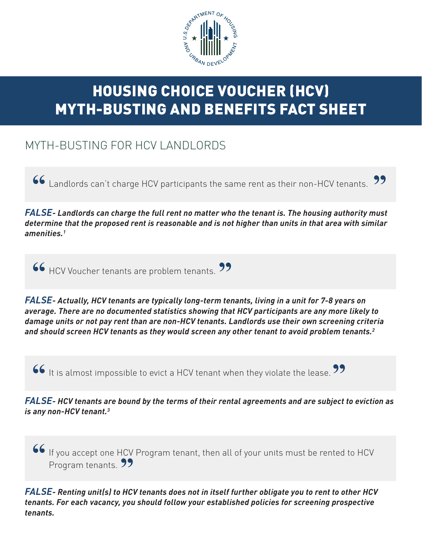

## HOUSING CHOICE VOUCHER (HCV) MYTH-BUSTING AND BENEFITS FACT SHEET

## MYTH-BUSTING FOR HCV LANDLORDS

Landlords can't charge HCV participants the same rent as their non-HCV tenants. **" "**

*FALSE- Landlords can charge the full rent no matter who the tenant is. The housing authority must determine that the proposed rent is reasonable and is not higher than units in that area with similar amenities.1* 

**66** HCV Voucher tenants are problem tenants. **"**

*FALSE- Actually, HCV tenants are typically long-term tenants, living in a unit for 7-8 years on average. There are no documented statistics showing that HCV participants are any more likely to damage units or not pay rent than are non-HCV tenants. Landlords use their own screening criteria and should screen HCV tenants as they would screen any other tenant to avoid problem tenants.2*

**It is almost impossible to evict a HCV tenant when they violate the lease. "**

*FALSE- HCV tenants are bound by the terms of their rental agreements and are subject to eviction as is any non-HCV tenant.3*

If you accept one HCV Program tenant, then all of your units must be rented to HCV **"** Program tenants. **99** 

*FALSE- Renting unit(s) to HCV tenants does not in itself further obligate you to rent to other HCV tenants. For each vacancy, you should follow your established policies for screening prospective tenants.*